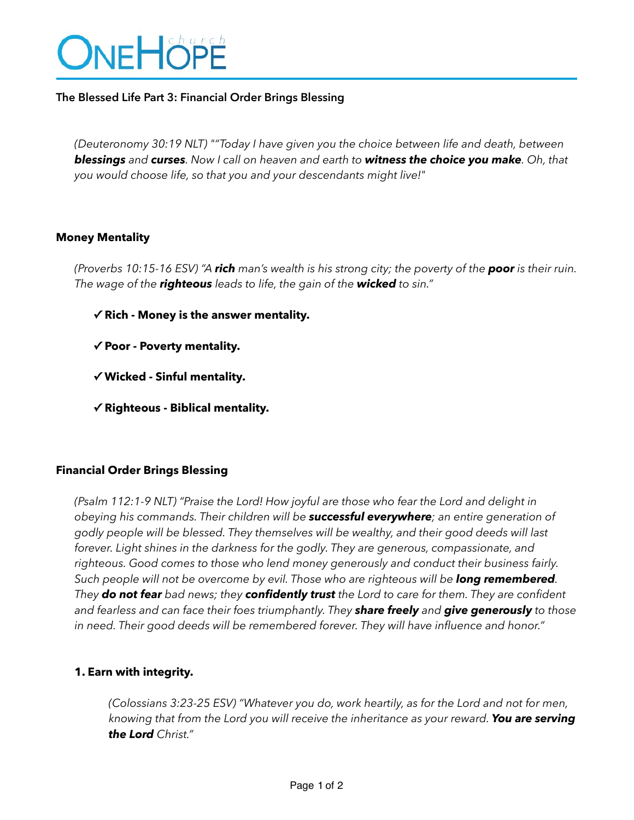# ONEHÖPE

#### **The Blessed Life Part 3: Financial Order Brings Blessing**

*(Deuteronomy 30:19 NLT) ""Today I have given you the choice between life and death, between blessings and curses. Now I call on heaven and earth to witness the choice you make. Oh, that you would choose life, so that you and your descendants might live!"*

#### **Money Mentality**

*(Proverbs 10:15-16 ESV) "A rich man's wealth is his strong city; the poverty of the poor is their ruin. The wage of the righteous leads to life, the gain of the wicked to sin."*

- **✓ Rich Money is the answer mentality.**
- **✓ Poor Poverty mentality.**
- **✓ Wicked Sinful mentality.**
- **✓ Righteous Biblical mentality.**

## **Financial Order Brings Blessing**

*(Psalm 112:1-9 NLT) "Praise the Lord! How joyful are those who fear the Lord and delight in obeying his commands. Their children will be successful everywhere; an entire generation of godly people will be blessed. They themselves will be wealthy, and their good deeds will last*  forever. Light shines in the darkness for the godly. They are generous, compassionate, and *righteous. Good comes to those who lend money generously and conduct their business fairly. Such people will not be overcome by evil. Those who are righteous will be long remembered. They do not fear bad news; they confidently trust the Lord to care for them. They are confident and fearless and can face their foes triumphantly. They share freely and give generously to those in need. Their good deeds will be remembered forever. They will have influence and honor."* 

#### **1. Earn with integrity.**

*(Colossians 3:23-25 ESV) "Whatever you do, work heartily, as for the Lord and not for men, knowing that from the Lord you will receive the inheritance as your reward. You are serving the Lord Christ."*